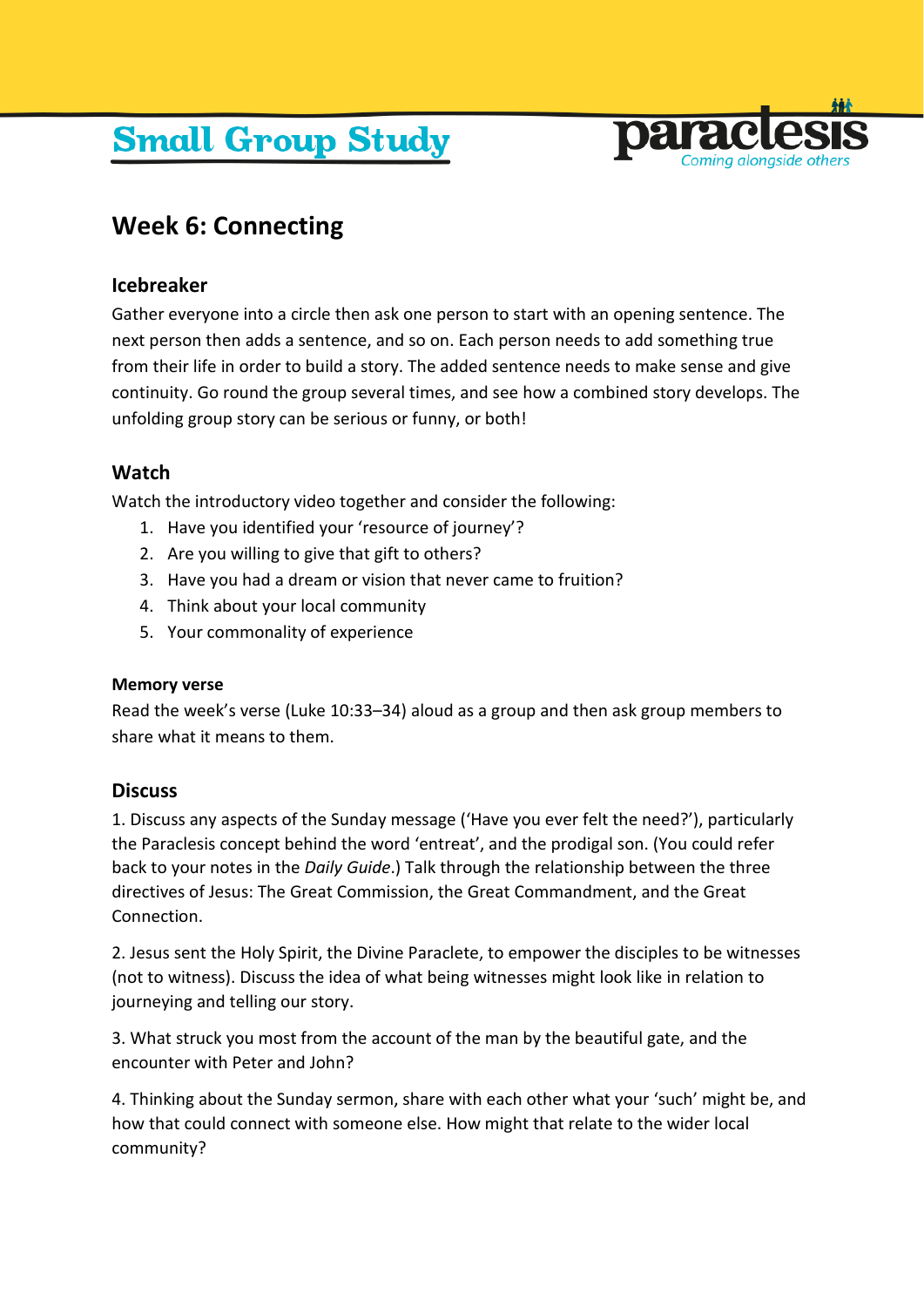# **Small Group Study**



## **Week 6: Connecting**

#### **Icebreaker**

Gather everyone into a circle then ask one person to start with an opening sentence. The next person then adds a sentence, and so on. Each person needs to add something true from their life in order to build a story. The added sentence needs to make sense and give continuity. Go round the group several times, and see how a combined story develops. The unfolding group story can be serious or funny, or both!

### **Watch**

Watch the introductory video together and consider the following:

- 1. Have you identified your 'resource of journey'?
- 2. Are you willing to give that gift to others?
- 3. Have you had a dream or vision that never came to fruition?
- 4. Think about your local community
- 5. Your commonality of experience

#### **Memory verse**

Read the week's verse (Luke 10:33–34) aloud as a group and then ask group members to share what it means to them.

#### **Discuss**

1. Discuss any aspects of the Sunday message ('Have you ever felt the need?'), particularly the Paraclesis concept behind the word 'entreat', and the prodigal son. (You could refer back to your notes in the *Daily Guide*.) Talk through the relationship between the three directives of Jesus: The Great Commission, the Great Commandment, and the Great **Connection** 

2. Jesus sent the Holy Spirit, the Divine Paraclete, to empower the disciples to be witnesses (not to witness). Discuss the idea of what being witnesses might look like in relation to journeying and telling our story.

3. What struck you most from the account of the man by the beautiful gate, and the encounter with Peter and John?

4. Thinking about the Sunday sermon, share with each other what your 'such' might be, and how that could connect with someone else. How might that relate to the wider local community?